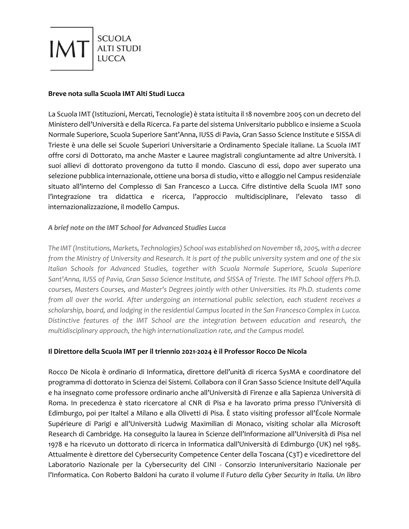

### **Breve nota sulla Scuola IMT Alti Studi Lucca**

La Scuola IMT (Istituzioni, Mercati, Tecnologie) è stata istituita il 18 novembre 2005 con un decreto del Ministero dell'Università e della Ricerca. Fa parte del sistema Universitario pubblico e insieme a Scuola Normale Superiore, Scuola Superiore Sant'Anna, IUSS di Pavia, Gran Sasso Science Institute e SISSA di Trieste è una delle sei Scuole Superiori Universitarie a Ordinamento Speciale italiane. La Scuola IMT offre corsi di Dottorato, ma anche Master e Lauree magistrali congiuntamente ad altre Università. I suoi allievi di dottorato provengono da tutto il mondo. Ciascuno di essi, dopo aver superato una selezione pubblica internazionale, ottiene una borsa di studio, vitto e alloggio nel Campus residenziale situato all'interno del Complesso di San Francesco a Lucca. Cifre distintive della Scuola IMT sono l'integrazione tra didattica e ricerca, l'approccio multidisciplinare, l'elevato tasso di internazionalizzazione, il modello Campus.

# *A brief note on the IMT School for Advanced Studies Lucca*

*The IMT (Institutions, Markets, Technologies) School was established on November 18, 2005, with a decree from the Ministry of University and Research. It is part of the public university system and one of the six Italian Schools for Advanced Studies, together with Scuola Normale Superiore, Scuola Superiore Sant'Anna, IUSS of Pavia, Gran Sasso Science Institute, and SISSA of Trieste. The IMT School offers Ph.D. courses, Masters Courses, and Master's Degrees jointly with other Universities. Its Ph.D. students come from all over the world. After undergoing an international public selection, each student receives a scholarship, board, and lodging in the residential Campus located in the San Francesco Complex in Lucca. Distinctive features of the IMT School are the integration between education and research, the multidisciplinary approach, the high internationalization rate, and the Campus model.*

# **Il Direttore della Scuola IMT per il triennio 2021-2024 è il Professor Rocco De Nicola**

Rocco De Nicola è ordinario di Informatica, direttore dell'unità di ricerca SysMA e coordinatore del programma di dottorato in Scienza dei Sistemi. Collabora con il Gran Sasso Science Insitute dell'Aquila e ha insegnato come professore ordinario anche all'Università di Firenze e alla Sapienza Università di Roma. In precedenza è stato ricercatore al CNR di Pisa e ha lavorato prima presso l'Università di Edimburgo, poi per Italtel a Milano e alla Olivetti di Pisa. È stato visiting professor all'École Normale Supérieure di Parigi e all'Università Ludwig Maximilian di Monaco, visiting scholar alla Microsoft Research di Cambridge. Ha conseguito la laurea in Scienze dell'Informazione all'Università di Pisa nel 1978 e ha ricevuto un dottorato di ricerca in Informatica dall'Università di Edimburgo (UK) nel 1985. Attualmente è direttore del Cybersecurity Competence Center della Toscana (C3T) e vicedirettore del Laboratorio Nazionale per la Cybersecurity del CINI - Consorzio Interuniversitario Nazionale per l'Informatica. Con Roberto Baldoni ha curato il volume *Il Futuro della Cyber Security in Italia. Un libro*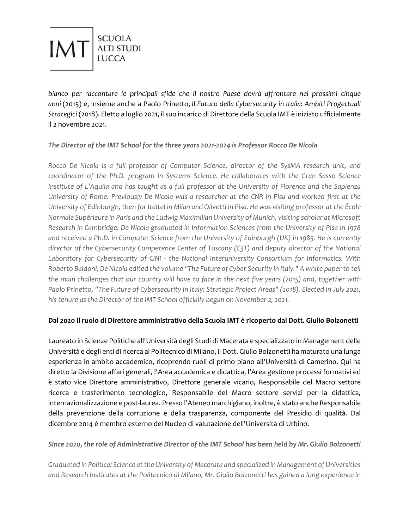

*bianco per raccontare le principali sfide che il nostro Paese dovrà affrontare nei prossimi cinque anni* (2015) e, insieme anche a Paolo Prinetto, *Il Futuro della Cybersecurity in Italia: Ambiti Progettuali Strategici* (2018). Eletto a luglio 2021, il suo incarico di Direttore della Scuola IMT è iniziato ufficialmente il 2 novembre 2021.

# *The Director of the IMT School for the three years 2021-2024 is Professor Rocco De Nicola*

*Rocco De Nicola is a full professor of Computer Science, director of the SysMA research unit, and coordinator of the Ph.D. program in Systems Science. He collaborates with the Gran Sasso Science Institute of L'Aquila and has taught as a full professor at the University of Florence and the Sapienza University of Rome. Previously De Nicola was a researcher at the CNR in Pisa and worked first at the University of Edinburgh, then for Italtel in Milan and Olivetti in Pisa. He was visiting professor at the École Normale Supérieure in Paris and the Ludwig Maximilian University of Munich, visiting scholar at Microsoft Research in Cambridge. De Nicola graduated in Information Sciences from the University of Pisa in 1978 and received a Ph.D. in Computer Science from the University of Edinburgh (UK) in 1985. He is currently director of the Cybersecurity Competence Center of Tuscany (C3T) and deputy director of the National Laboratory for Cybersecurity of CINI - the National Interuniversity Consortium for Informatics. With Roberto Baldoni, De Nicola edited the volume "The Future of Cyber Security in Italy." A white paper to tell the main challenges that our country will have to face in the next five years (2015) and, together with Paolo Prinetto, "The Future of Cybersecurity in Italy: Strategic Project Areas" (2018). Elected in July 2021, his tenure as the Director of the IMT School officially began on November 2, 2021.*

# **Dal 2020 il ruolo di Direttore amministrativo della Scuola IMT è ricoperto dal Dott. Giulio Bolzonetti**

Laureato in Scienze Politiche all'Università degli Studi di Macerata e specializzato in Management delle Università e degli enti di ricerca al Politecnico di Milano, il Dott. Giulio Bolzonetti ha maturato una lunga esperienza in ambito accademico, ricoprendo ruoli di primo piano all'Università di Camerino. Qui ha diretto la Divisione affari generali, l'Area accademica e didattica, l'Area gestione processi formativi ed è stato vice Direttore amministrativo, Direttore generale vicario, Responsabile del Macro settore ricerca e trasferimento tecnologico, Responsabile del Macro settore servizi per la didattica, internazionalizzazione e post-laurea. Presso l'Ateneo marchigiano, inoltre, è stato anche Responsabile della prevenzione della corruzione e della trasparenza, componente del Presidio di qualità. Dal dicembre 2014 è membro esterno del Nucleo di valutazione dell'Università di Urbino.

### *Since 2020, the role of Administrative Director of the IMT School has been held by Mr. Giulio Bolzonetti*

*Graduated in Political Science at the University of Macerata and specialized in Management of Universities and Research Institutes at the Politecnico di Milano, Mr. Giulio Bolzonetti has gained a long experience in*